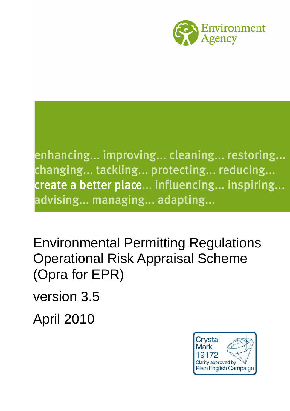

enhancing... improving... cleaning... restoring... changing... tackling... protecting... reducing... create a better place... influencing... inspiring... advising... managing... adapting...

Environmental Permitting Regulations Operational Risk Appraisal Scheme (Opra for EPR)

version 3.5

April 2010

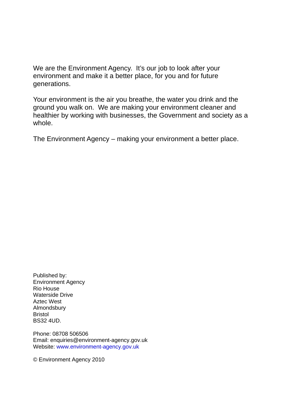We are the Environment Agency. It's our job to look after your environment and make it a better place, for you and for future generations.

Your environment is the air you breathe, the water you drink and the ground you walk on. We are making your environment cleaner and healthier by working with businesses, the Government and society as a whole.

The Environment Agency – making your environment a better place.

Published by: Environment Agency Rio House Waterside Drive Aztec West Almondsbury Bristol BS32 4UD.

Phone: 08708 506506 Email: enquiries@environment-agency.gov.uk Website: [www.environment-agency.gov.uk](http://www.environment-agency.gov.uk/)

© Environment Agency 2010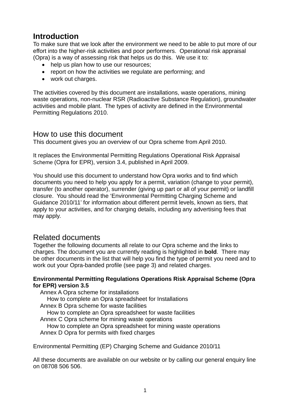# **Introduction**

To make sure that we look after the environment we need to be able to put more of our effort into the higher-risk activities and poor performers. Operational risk appraisal (Opra) is a way of assessing risk that helps us do this. We use it to:

- help us plan how to use our resources;
- report on how the activities we regulate are performing; and
- work out charges.

The activities covered by this document are installations, waste operations, mining waste operations, non-nuclear RSR (Radioactive Substance Regulation), groundwater activities and mobile plant. The types of activity are defined in the Environmental Permitting Regulations 2010.

#### How to use this document

This document gives you an overview of our Opra scheme from April 2010.

It replaces the Environmental Permitting Regulations Operational Risk Appraisal Scheme (Opra for EPR), version 3.4, published in April 2009.

You should use this document to understand how Opra works and to find which documents you need to help you apply for a permit, variation (change to your permit), transfer (to another operator), surrender (giving up part or all of your permit) or landfill closure. You should read the 'Environmental Permitting Charging Scheme and Guidance 2010/11' for information about different permit levels, known as tiers, that apply to your activities, and for charging details, including any advertising fees that may apply.

#### Related documents

Together the following documents all relate to our Opra scheme and the links to charges. The document you are currently reading is highlighted in **bold**. There may be other documents in the list that will help you find the type of permit you need and to work out your Opra-banded profile (see page 3) and related charges.

#### **Environmental Permitting Regulations Operations Risk Appraisal Scheme (Opra for EPR) version 3.5**

Annex A Opra scheme for installations How to complete an Opra spreadsheet for Installations Annex B Opra scheme for waste facilities How to complete an Opra spreadsheet for waste facilities Annex C Opra scheme for mining waste operations How to complete an Opra spreadsheet for mining waste operations Annex D Opra for permits with fixed charges

Environmental Permitting (EP) Charging Scheme and Guidance 2010/11

All these documents are available on our website or by calling our general enquiry line on 08708 506 506.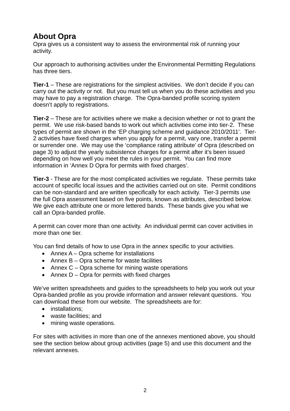# **About Opra**

Opra gives us a consistent way to assess the environmental risk of running your activity.

Our approach to authorising activities under the Environmental Permitting Regulations has three tiers.

**Tier-1** – These are registrations for the simplest activities. We don't decide if you can carry out the activity or not. But you must tell us when you do these activities and you may have to pay a registration charge. The Opra-banded profile scoring system doesn't apply to registrations.

**Tier-2** – These are for activities where we make a decision whether or not to grant the permit. We use risk-based bands to work out which activities come into tier-2. These types of permit are shown in the 'EP charging scheme and guidance 2010/2011'. Tier-2 activities have fixed charges when you apply for a permit, vary one, transfer a permit or surrender one. We may use the 'compliance rating attribute' of Opra (described on page 3) to adjust the yearly subsistence charges for a permit after it's been issued depending on how well you meet the rules in your permit. You can find more information in 'Annex D Opra for permits with fixed charges'.

**Tier-3** - These are for the most complicated activities we regulate. These permits take account of specific local issues and the activities carried out on site. Permit conditions can be non-standard and are written specifically for each activity. Tier-3 permits use the full Opra assessment based on five points, known as attributes, described below. We give each attribute one or more lettered bands. These bands give you what we call an Opra-banded profile.

A permit can cover more than one activity. An individual permit can cover activities in more than one tier.

You can find details of how to use Opra in the annex specific to your activities.

- Annex A Opra scheme for installations
- Annex B Opra scheme for waste facilities
- Annex C Opra scheme for mining waste operations
- Annex D Opra for permits with fixed charges

We've written spreadsheets and guides to the spreadsheets to help you work out your Opra-banded profile as you provide information and answer relevant questions. You can download these from our website. The spreadsheets are for:

- installations;
- waste facilities; and
- mining waste operations.

For sites with activities in more than one of the annexes mentioned above, you should see the section below about group activities (page 5) and use this document and the relevant annexes.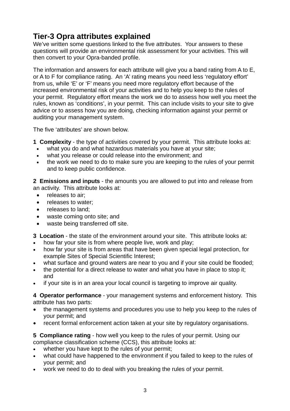# **Tier-3 Opra attributes explained**

We've written some questions linked to the five attributes. Your answers to these questions will provide an environmental risk assessment for your activities. This will then convert to your Opra-banded profile.

The information and answers for each attribute will give you a band rating from A to E, or A to F for compliance rating. An 'A' rating means you need less 'regulatory effort' from us, while 'E' or 'F' means you need more regulatory effort because of the increased environmental risk of your activities and to help you keep to the rules of your permit. Regulatory effort means the work we do to assess how well you meet the rules, known as 'conditions', in your permit. This can include visits to your site to give advice or to assess how you are doing, checking information against your permit or auditing your management system.

The five 'attributes' are shown below.

**1 Complexity** - the type of activities covered by your permit. This attribute looks at:

- what you do and what hazardous materials you have at your site;
- what you release or could release into the environment; and
- the work we need to do to make sure you are keeping to the rules of your permit and to keep public confidence.

**2 Emissions and inputs** - the amounts you are allowed to put into and release from an activity. This attribute looks at:

- releases to air:
- releases to water:
- releases to land;
- waste coming onto site; and
- waste being transferred off site.

**3 Location** - the state of the environment around your site. This attribute looks at:

- how far your site is from where people live, work and play;
- how far your site is from areas that have been given special legal protection, for example Sites of Special Scientific Interest;
- what surface and ground waters are near to you and if your site could be flooded;
- the potential for a direct release to water and what you have in place to stop it; and
- if your site is in an area your local council is targeting to improve air quality.

**4 Operator performance** - your management systems and enforcement history. This attribute has two parts:

- the management systems and procedures you use to help you keep to the rules of your permit; and
- recent formal enforcement action taken at your site by regulatory organisations.

#### **5 Compliance rating** - how well you keep to the rules of your permit. Using our compliance classification scheme (CCS), this attribute looks at:

- whether you have kept to the rules of your permit;
- what could have happened to the environment if you failed to keep to the rules of your permit; and
- work we need to do to deal with you breaking the rules of your permit.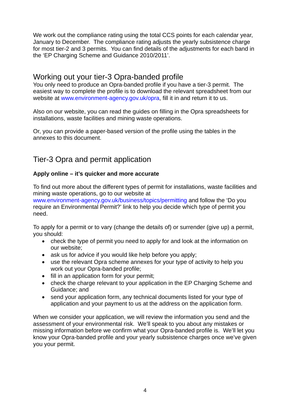We work out the compliance rating using the total CCS points for each calendar year. January to December. The compliance rating adjusts the yearly subsistence charge for most tier-2 and 3 permits. You can find details of the adjustments for each band in the 'EP Charging Scheme and Guidance 2010/2011'.

### Working out your tier-3 Opra-banded profile

You only need to produce an Opra-banded profile if you have a tier-3 permit. The easiest way to complete the profile is to download the relevant spreadsheet from our website at [www.environment-agency.gov.uk/opra](http://www.environment-agency.gov.uk/opra), fill it in and return it to us.

Also on our website, you can read the guides on filling in the Opra spreadsheets for installations, waste facilities and mining waste operations.

Or, you can provide a paper-based version of the profile using the tables in the annexes to this document.

## Tier-3 Opra and permit application

#### **Apply online – it's quicker and more accurate**

To find out more about the different types of permit for installations, waste facilities and mining waste operations, go to our website at

[www.environment-agency.gov.uk/business/topics/permitting](http://www.environment-agency.gov.uk/business/topics/permitting) and follow the 'Do you require an Environmental Permit?' link to help you decide which type of permit you need.

To apply for a permit or to vary (change the details of) or surrender (give up) a permit, you should:

- check the type of permit you need to apply for and look at the information on our website;
- ask us for advice if you would like help before you apply;
- use the relevant Opra scheme annexes for your type of activity to help you work out your Opra-banded profile;
- fill in an application form for your permit:
- check the charge relevant to your application in the EP Charging Scheme and Guidance; and
- send your application form, any technical documents listed for your type of application and your payment to us at the address on the application form.

When we consider your application, we will review the information you send and the assessment of your environmental risk. We'll speak to you about any mistakes or missing information before we confirm what your Opra-banded profile is. We'll let you know your Opra-banded profile and your yearly subsistence charges once we've given you your permit.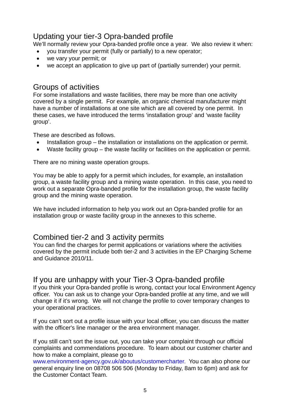## Updating your tier-3 Opra-banded profile

We'll normally review your Opra-banded profile once a year. We also review it when:

- you transfer your permit (fully or partially) to a new operator;
- we vary your permit; or
- we accept an application to give up part of (partially surrender) your permit.

### Groups of activities

For some installations and waste facilities, there may be more than one activity covered by a single permit. For example, an organic chemical manufacturer might have a number of installations at one site which are all covered by one permit. In these cases, we have introduced the terms 'installation group' and 'waste facility group'.

These are described as follows.

- Installation group the installation or installations on the application or permit.
- Waste facility group the waste facility or facilities on the application or permit.

There are no mining waste operation groups.

You may be able to apply for a permit which includes, for example, an installation group, a waste facility group and a mining waste operation. In this case, you need to work out a separate Opra-banded profile for the installation group, the waste facility group and the mining waste operation.

We have included information to help you work out an Opra-banded profile for an installation group or waste facility group in the annexes to this scheme.

## Combined tier-2 and 3 activity permits

You can find the charges for permit applications or variations where the activities covered by the permit include both tier-2 and 3 activities in the EP Charging Scheme and Guidance 2010/11.

## If you are unhappy with your Tier-3 Opra-banded profile

If you think your Opra-banded profile is wrong, contact your local Environment Agency officer. You can ask us to change your Opra-banded profile at any time, and we will change it if it's wrong. We will not change the profile to cover temporary changes to your operational practices.

If you can't sort out a profile issue with your local officer, you can discuss the matter with the officer's line manager or the area environment manager.

If you still can't sort the issue out, you can take your complaint through our official complaints and commendations procedure. To learn about our customer charter and how to make a complaint, please go to

www.environment-agency.gov.uk/aboutus/customercharter. You can also phone our general enquiry line on 08708 506 506 (Monday to Friday, 8am to 6pm) and ask for the Customer Contact Team.